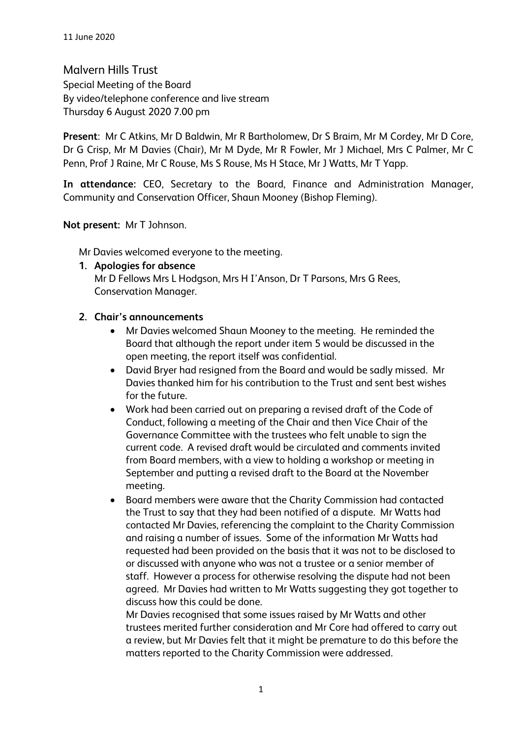Malvern Hills Trust Special Meeting of the Board By video/telephone conference and live stream Thursday 6 August 2020 7.00 pm

**Present**: Mr C Atkins, Mr D Baldwin, Mr R Bartholomew, Dr S Braim, Mr M Cordey, Mr D Core, Dr G Crisp, Mr M Davies (Chair), Mr M Dyde, Mr R Fowler, Mr J Michael, Mrs C Palmer, Mr C Penn, Prof J Raine, Mr C Rouse, Ms S Rouse, Ms H Stace, Mr J Watts, Mr T Yapp.

**In attendance:** CEO, Secretary to the Board, Finance and Administration Manager, Community and Conservation Officer, Shaun Mooney (Bishop Fleming).

**Not present:** Mr T Johnson.

Mr Davies welcomed everyone to the meeting.

## **1. Apologies for absence**

Mr D Fellows Mrs L Hodgson, Mrs H I'Anson, Dr T Parsons, Mrs G Rees, Conservation Manager.

## **2. Chair's announcements**

- Mr Davies welcomed Shaun Mooney to the meeting. He reminded the Board that although the report under item 5 would be discussed in the open meeting, the report itself was confidential.
- David Bryer had resigned from the Board and would be sadly missed. Mr Davies thanked him for his contribution to the Trust and sent best wishes for the future.
- Work had been carried out on preparing a revised draft of the Code of Conduct, following a meeting of the Chair and then Vice Chair of the Governance Committee with the trustees who felt unable to sign the current code. A revised draft would be circulated and comments invited from Board members, with a view to holding a workshop or meeting in September and putting a revised draft to the Board at the November meeting.
- Board members were aware that the Charity Commission had contacted the Trust to say that they had been notified of a dispute. Mr Watts had contacted Mr Davies, referencing the complaint to the Charity Commission and raising a number of issues. Some of the information Mr Watts had requested had been provided on the basis that it was not to be disclosed to or discussed with anyone who was not a trustee or a senior member of staff. However a process for otherwise resolving the dispute had not been agreed. Mr Davies had written to Mr Watts suggesting they got together to discuss how this could be done.

Mr Davies recognised that some issues raised by Mr Watts and other trustees merited further consideration and Mr Core had offered to carry out a review, but Mr Davies felt that it might be premature to do this before the matters reported to the Charity Commission were addressed.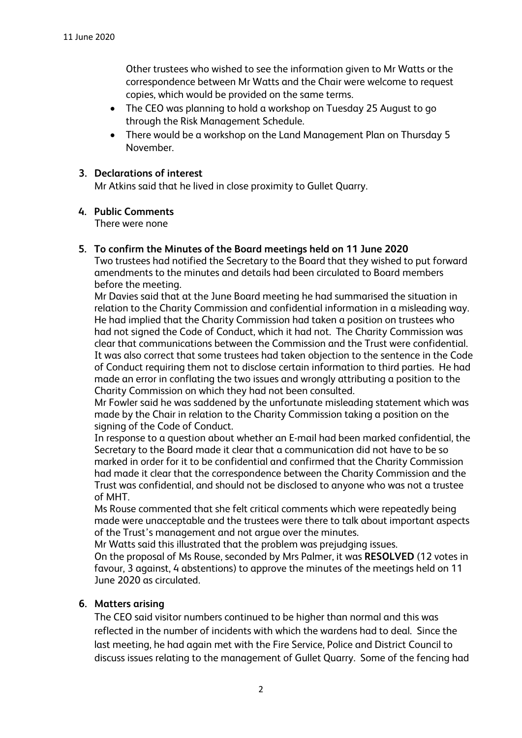Other trustees who wished to see the information given to Mr Watts or the correspondence between Mr Watts and the Chair were welcome to request copies, which would be provided on the same terms.

- The CEO was planning to hold a workshop on Tuesday 25 August to go through the Risk Management Schedule.
- There would be a workshop on the Land Management Plan on Thursday 5 November.

### **3. Declarations of interest**

Mr Atkins said that he lived in close proximity to Gullet Quarry.

### **4. Public Comments**

There were none

## **5. To confirm the Minutes of the Board meetings held on 11 June 2020**

Two trustees had notified the Secretary to the Board that they wished to put forward amendments to the minutes and details had been circulated to Board members before the meeting.

Mr Davies said that at the June Board meeting he had summarised the situation in relation to the Charity Commission and confidential information in a misleading way. He had implied that the Charity Commission had taken a position on trustees who had not signed the Code of Conduct, which it had not. The Charity Commission was clear that communications between the Commission and the Trust were confidential. It was also correct that some trustees had taken objection to the sentence in the Code of Conduct requiring them not to disclose certain information to third parties. He had made an error in conflating the two issues and wrongly attributing a position to the Charity Commission on which they had not been consulted.

Mr Fowler said he was saddened by the unfortunate misleading statement which was made by the Chair in relation to the Charity Commission taking a position on the signing of the Code of Conduct.

In response to a question about whether an E-mail had been marked confidential, the Secretary to the Board made it clear that a communication did not have to be so marked in order for it to be confidential and confirmed that the Charity Commission had made it clear that the correspondence between the Charity Commission and the Trust was confidential, and should not be disclosed to anyone who was not a trustee of MHT.

Ms Rouse commented that she felt critical comments which were repeatedly being made were unacceptable and the trustees were there to talk about important aspects of the Trust's management and not argue over the minutes.

Mr Watts said this illustrated that the problem was prejudging issues.

On the proposal of Ms Rouse, seconded by Mrs Palmer, it was **RESOLVED** (12 votes in favour, 3 against, 4 abstentions) to approve the minutes of the meetings held on 11 June 2020 as circulated.

## **6. Matters arising**

The CEO said visitor numbers continued to be higher than normal and this was reflected in the number of incidents with which the wardens had to deal. Since the last meeting, he had again met with the Fire Service, Police and District Council to discuss issues relating to the management of Gullet Quarry. Some of the fencing had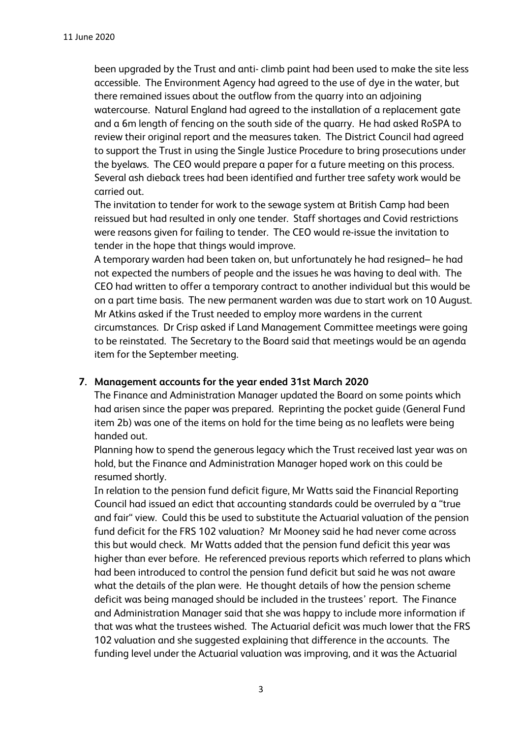been upgraded by the Trust and anti- climb paint had been used to make the site less accessible. The Environment Agency had agreed to the use of dye in the water, but there remained issues about the outflow from the quarry into an adjoining watercourse. Natural England had agreed to the installation of a replacement gate and a 6m length of fencing on the south side of the quarry. He had asked RoSPA to review their original report and the measures taken. The District Council had agreed to support the Trust in using the Single Justice Procedure to bring prosecutions under the byelaws. The CEO would prepare a paper for a future meeting on this process. Several ash dieback trees had been identified and further tree safety work would be carried out.

The invitation to tender for work to the sewage system at British Camp had been reissued but had resulted in only one tender. Staff shortages and Covid restrictions were reasons given for failing to tender. The CEO would re-issue the invitation to tender in the hope that things would improve.

A temporary warden had been taken on, but unfortunately he had resigned– he had not expected the numbers of people and the issues he was having to deal with. The CEO had written to offer a temporary contract to another individual but this would be on a part time basis. The new permanent warden was due to start work on 10 August. Mr Atkins asked if the Trust needed to employ more wardens in the current circumstances. Dr Crisp asked if Land Management Committee meetings were going to be reinstated. The Secretary to the Board said that meetings would be an agenda item for the September meeting.

## **7. Management accounts for the year ended 31st March 2020**

The Finance and Administration Manager updated the Board on some points which had arisen since the paper was prepared. Reprinting the pocket guide (General Fund item 2b) was one of the items on hold for the time being as no leaflets were being handed out.

Planning how to spend the generous legacy which the Trust received last year was on hold, but the Finance and Administration Manager hoped work on this could be resumed shortly.

In relation to the pension fund deficit figure, Mr Watts said the Financial Reporting Council had issued an edict that accounting standards could be overruled by a "true and fair" view. Could this be used to substitute the Actuarial valuation of the pension fund deficit for the FRS 102 valuation? Mr Mooney said he had never come across this but would check. Mr Watts added that the pension fund deficit this year was higher than ever before. He referenced previous reports which referred to plans which had been introduced to control the pension fund deficit but said he was not aware what the details of the plan were. He thought details of how the pension scheme deficit was being managed should be included in the trustees' report. The Finance and Administration Manager said that she was happy to include more information if that was what the trustees wished. The Actuarial deficit was much lower that the FRS 102 valuation and she suggested explaining that difference in the accounts. The funding level under the Actuarial valuation was improving, and it was the Actuarial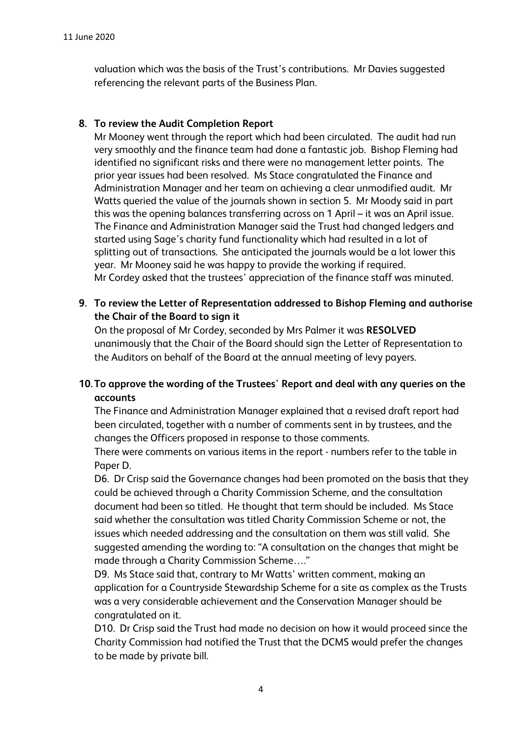valuation which was the basis of the Trust's contributions. Mr Davies suggested referencing the relevant parts of the Business Plan.

## **8. To review the Audit Completion Report**

Mr Mooney went through the report which had been circulated. The audit had run very smoothly and the finance team had done a fantastic job. Bishop Fleming had identified no significant risks and there were no management letter points. The prior year issues had been resolved. Ms Stace congratulated the Finance and Administration Manager and her team on achieving a clear unmodified audit. Mr Watts queried the value of the journals shown in section 5. Mr Moody said in part this was the opening balances transferring across on 1 April – it was an April issue. The Finance and Administration Manager said the Trust had changed ledgers and started using Sage's charity fund functionality which had resulted in a lot of splitting out of transactions. She anticipated the journals would be a lot lower this year. Mr Mooney said he was happy to provide the working if required. Mr Cordey asked that the trustees' appreciation of the finance staff was minuted.

**9. To review the Letter of Representation addressed to Bishop Fleming and authorise the Chair of the Board to sign it**

On the proposal of Mr Cordey, seconded by Mrs Palmer it was **RESOLVED**  unanimously that the Chair of the Board should sign the Letter of Representation to the Auditors on behalf of the Board at the annual meeting of levy payers.

# **10.To approve the wording of the Trustees' Report and deal with any queries on the accounts**

The Finance and Administration Manager explained that a revised draft report had been circulated, together with a number of comments sent in by trustees, and the changes the Officers proposed in response to those comments.

There were comments on various items in the report - numbers refer to the table in Paper D.

D6. Dr Crisp said the Governance changes had been promoted on the basis that they could be achieved through a Charity Commission Scheme, and the consultation document had been so titled. He thought that term should be included. Ms Stace said whether the consultation was titled Charity Commission Scheme or not, the issues which needed addressing and the consultation on them was still valid. She suggested amending the wording to: "A consultation on the changes that might be made through a Charity Commission Scheme…."

D9. Ms Stace said that, contrary to Mr Watts' written comment, making an application for a Countryside Stewardship Scheme for a site as complex as the Trusts was a very considerable achievement and the Conservation Manager should be congratulated on it.

D10. Dr Crisp said the Trust had made no decision on how it would proceed since the Charity Commission had notified the Trust that the DCMS would prefer the changes to be made by private bill.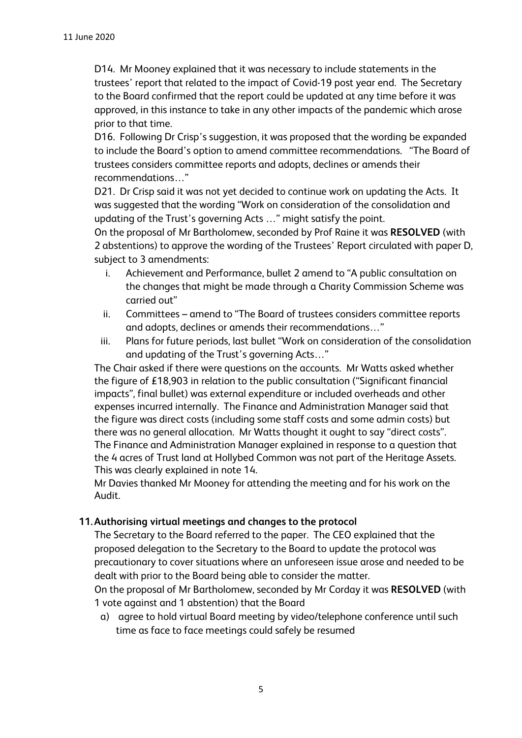D14. Mr Mooney explained that it was necessary to include statements in the trustees' report that related to the impact of Covid-19 post year end. The Secretary to the Board confirmed that the report could be updated at any time before it was approved, in this instance to take in any other impacts of the pandemic which arose prior to that time.

D16. Following Dr Crisp's suggestion, it was proposed that the wording be expanded to include the Board's option to amend committee recommendations. "The Board of trustees considers committee reports and adopts, declines or amends their recommendations…"

D21. Dr Crisp said it was not yet decided to continue work on updating the Acts. It was suggested that the wording "Work on consideration of the consolidation and updating of the Trust's governing Acts …" might satisfy the point.

On the proposal of Mr Bartholomew, seconded by Prof Raine it was **RESOLVED** (with 2 abstentions) to approve the wording of the Trustees' Report circulated with paper D, subject to 3 amendments:

- i. Achievement and Performance, bullet 2 amend to "A public consultation on the changes that might be made through a Charity Commission Scheme was carried out"
- ii. Committees amend to "The Board of trustees considers committee reports and adopts, declines or amends their recommendations…"
- iii. Plans for future periods, last bullet "Work on consideration of the consolidation and updating of the Trust's governing Acts…"

The Chair asked if there were questions on the accounts. Mr Watts asked whether the figure of £18,903 in relation to the public consultation ("Significant financial impacts", final bullet) was external expenditure or included overheads and other expenses incurred internally. The Finance and Administration Manager said that the figure was direct costs (including some staff costs and some admin costs) but there was no general allocation. Mr Watts thought it ought to say "direct costs". The Finance and Administration Manager explained in response to a question that the 4 acres of Trust land at Hollybed Common was not part of the Heritage Assets. This was clearly explained in note 14.

Mr Davies thanked Mr Mooney for attending the meeting and for his work on the Audit.

# **11.Authorising virtual meetings and changes to the protocol**

The Secretary to the Board referred to the paper. The CEO explained that the proposed delegation to the Secretary to the Board to update the protocol was precautionary to cover situations where an unforeseen issue arose and needed to be dealt with prior to the Board being able to consider the matter.

On the proposal of Mr Bartholomew, seconded by Mr Corday it was **RESOLVED** (with 1 vote against and 1 abstention) that the Board

a) agree to hold virtual Board meeting by video/telephone conference until such time as face to face meetings could safely be resumed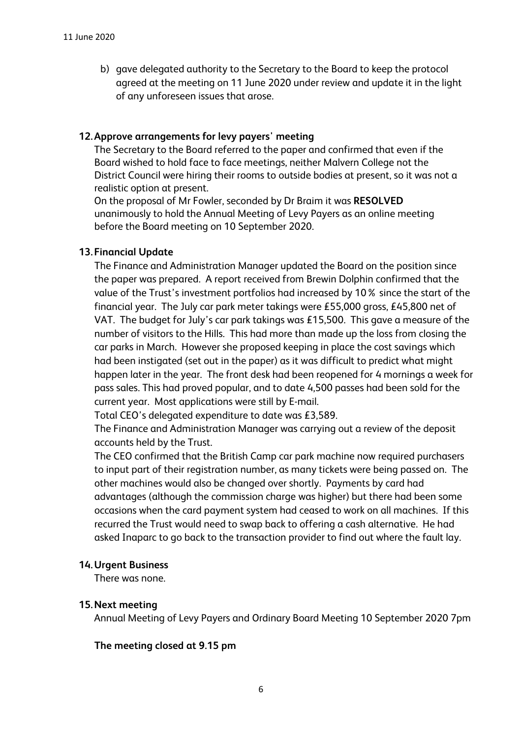b) gave delegated authority to the Secretary to the Board to keep the protocol agreed at the meeting on 11 June 2020 under review and update it in the light of any unforeseen issues that arose.

## **12.Approve arrangements for levy payers' meeting**

The Secretary to the Board referred to the paper and confirmed that even if the Board wished to hold face to face meetings, neither Malvern College not the District Council were hiring their rooms to outside bodies at present, so it was not a realistic option at present.

On the proposal of Mr Fowler, seconded by Dr Braim it was **RESOLVED** unanimously to hold the Annual Meeting of Levy Payers as an online meeting before the Board meeting on 10 September 2020.

## **13.Financial Update**

The Finance and Administration Manager updated the Board on the position since the paper was prepared. A report received from Brewin Dolphin confirmed that the value of the Trust's investment portfolios had increased by 10% since the start of the financial year. The July car park meter takings were £55,000 gross, £45,800 net of VAT. The budget for July's car park takings was £15,500. This gave a measure of the number of visitors to the Hills. This had more than made up the loss from closing the car parks in March. However she proposed keeping in place the cost savings which had been instigated (set out in the paper) as it was difficult to predict what might happen later in the year. The front desk had been reopened for 4 mornings a week for pass sales. This had proved popular, and to date 4,500 passes had been sold for the current year. Most applications were still by E-mail.

Total CEO's delegated expenditure to date was £3,589.

The Finance and Administration Manager was carrying out a review of the deposit accounts held by the Trust.

The CEO confirmed that the British Camp car park machine now required purchasers to input part of their registration number, as many tickets were being passed on. The other machines would also be changed over shortly. Payments by card had advantages (although the commission charge was higher) but there had been some occasions when the card payment system had ceased to work on all machines. If this recurred the Trust would need to swap back to offering a cash alternative. He had asked Inaparc to go back to the transaction provider to find out where the fault lay.

#### **14.Urgent Business**

There was none.

#### **15.Next meeting**

Annual Meeting of Levy Payers and Ordinary Board Meeting 10 September 2020 7pm

#### **The meeting closed at 9.15 pm**